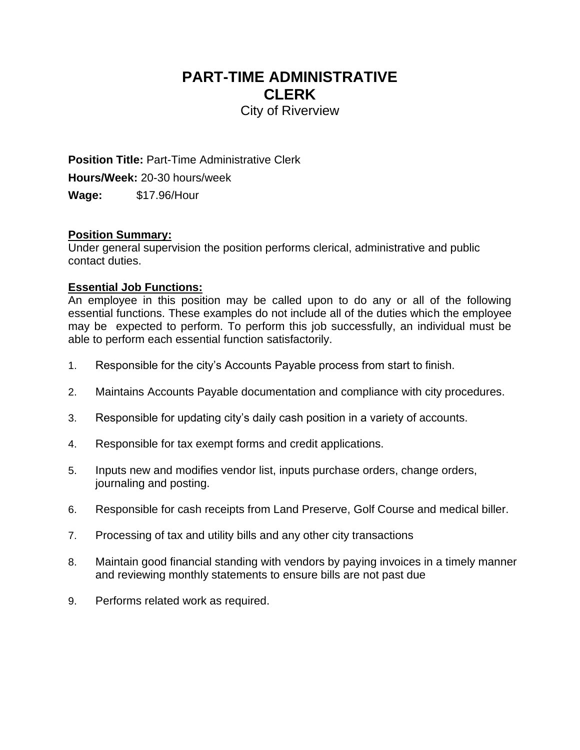# **PART-TIME ADMINISTRATIVE CLERK**

City of Riverview

**Position Title:** Part-Time Administrative Clerk **Hours/Week:** 20-30 hours/week **Wage:** \$17.96/Hour

#### **Position Summary:**

Under general supervision the position performs clerical, administrative and public contact duties.

#### **Essential Job Functions:**

An employee in this position may be called upon to do any or all of the following essential functions. These examples do not include all of the duties which the employee may be expected to perform. To perform this job successfully, an individual must be able to perform each essential function satisfactorily.

- 1. Responsible for the city's Accounts Payable process from start to finish.
- 2. Maintains Accounts Payable documentation and compliance with city procedures.
- 3. Responsible for updating city's daily cash position in a variety of accounts.
- 4. Responsible for tax exempt forms and credit applications.
- 5. Inputs new and modifies vendor list, inputs purchase orders, change orders, journaling and posting.
- 6. Responsible for cash receipts from Land Preserve, Golf Course and medical biller.
- 7. Processing of tax and utility bills and any other city transactions
- 8. Maintain good financial standing with vendors by paying invoices in a timely manner and reviewing monthly statements to ensure bills are not past due
- 9. Performs related work as required.